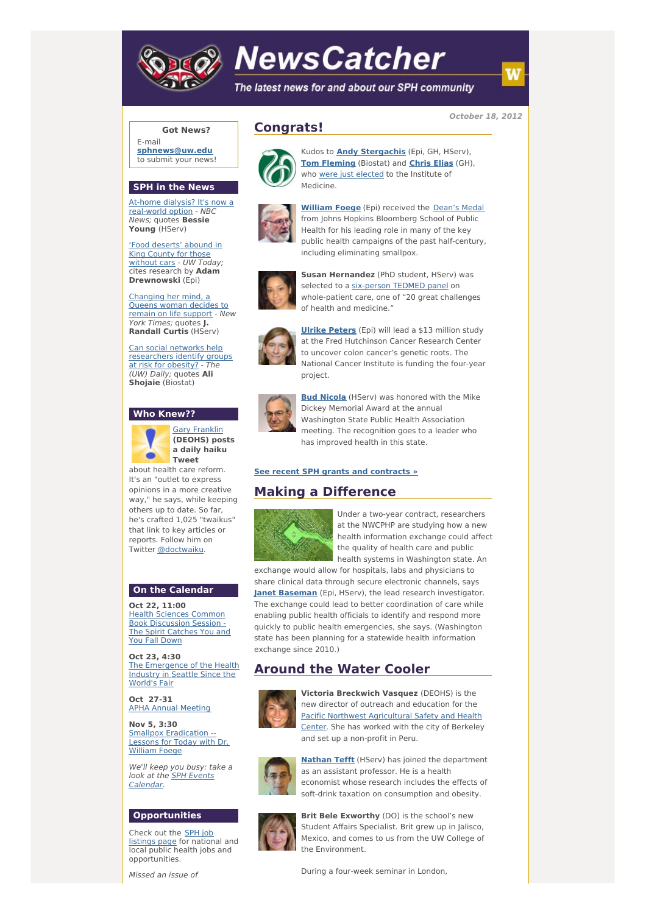

# **NewsCatcher**

The latest news for and about our SPH community

**October 18, 2012**

#### **Got News?**

E-mail **[sphnews@uw.edu](mailto:sphnews@uw.edu)** to submit your news!

#### **SPH in the News**

At-home dialysis? It's now a [real-world](http://engage.washington.edu/site/R?i=3SkF_1QRffjXcz-1znl_Tw) option - NBC News; quotes **Bessie Young** (HServ)

'Food [deserts'](http://engage.washington.edu/site/R?i=rCZsnInaN99pSQbVHA84qg) abound in King County for those without cars - UW Today: cites research by **Adam Drewnowski** (Epi)

[Changing](http://engage.washington.edu/site/R?i=ImnhfXFUhGxnID_pt9FZDg) her mind, a Queens woman decides to remain on life support - New York Times; quotes **J. Randall Curtis** (HServ)

Can social networks help [researchers](http://engage.washington.edu/site/R?i=29rOb3v93ffoH_9FpDO8Ig) identify groups at risk for obesity? -(UW) Daily; quotes **Ali Shojaie** (Biostat)

#### **Who Knew??**



Gary [Franklin](http://engage.washington.edu/site/R?i=D7xPikUcIT6YekyvVBzhzQ) **(DEOHS) posts a daily haiku**

about health care reform. It's an "outlet to express opinions in a more creative way," he says, while keeping others up to date. So far, he's crafted 1,025 "twaikus" that link to key articles or reports. Follow him on Twitter [@doctwaiku](http://engage.washington.edu/site/R?i=nmVqeJ1TFL1EDgwVh_9vYA).

## **On the Calendar**

**Oct 22, 11:00** Health Sciences Common Book [Discussion](http://engage.washington.edu/site/R?i=iN29VQV5isgatd9yhhlvLw) Session -The Spirit Catches You and **You Fall Down** 

**Oct 23, 4:30** The [Emergence](http://engage.washington.edu/site/R?i=D5aSPLHzMrF0S0s3yVsEIQ) of the Health Industry in Seattle Since the World's Fair

**Oct 27-31** APHA Annual [Meeting](http://engage.washington.edu/site/R?i=SssXIOU8ye1ja62kiB6eWg)

**Nov 5, 3:30** Smallpox [Eradication](http://engage.washington.edu/site/R?i=pM7b_-0JrpWLcSGnUPp5nA) -Lessons for Today with Dr. William Foege

We'll keep you busy: take a look at the **SPH Events** [Calendar.](http://engage.washington.edu/site/R?i=XnVsn0kiuQEQbvVanfqa7Q)

## **Opportunities**

Check out the SPH job [listings](http://engage.washington.edu/site/R?i=YRvqHrWCOXuF8YEzqFBlfQ) page for national and **local public health jobs and** opportunities.

Missed an issue of

# **Congrats!**



Kudos to **Andy [Stergachis](http://engage.washington.edu/site/R?i=SSx7uK7gIuiBlYKbCcc6yw)** (Epi, GH, HServ), **Tom [Fleming](http://engage.washington.edu/site/R?i=QDaYUTHP2hfNgW7GUVcnaA)** (Biostat) and **[Chris](http://engage.washington.edu/site/R?i=FBtL3E3uWu1jrNOSYsNsew) Elias** (GH), who were just [elected](http://engage.washington.edu/site/R?i=tyjKme9H44_Zw02igAzR9g) to the Institute of Medicine.



**[William](http://engage.washington.edu/site/R?i=5Zn5b1yb6IndvVoMBqEROg) Foege** (Epi) received the [Dean's](http://engage.washington.edu/site/R?i=B9Q31MOkmQ5fggZiMdPM5w) Medal from Johns Hopkins Bloomberg School of Public Health for his leading role in many of the key public health campaigns of the past half-century, including eliminating smallpox.



**Susan Hernandez** (PhD student, HServ) was selected to a [six-person](http://engage.washington.edu/site/R?i=f2p_qCdVKVRvhkrXMhFMiw) TEDMED panel on whole-patient care, one of "20 great challenges of health and medicine."



**Ulrike [Peters](http://engage.washington.edu/site/R?i=o6uo0yghwNQ36ETYQKQ37w)** (Epi) will lead a \$13 million study at the Fred Hutchinson Cancer Research Center to uncover colon cancer's genetic roots. The National Cancer Institute is funding the four-year project.



**Bud [Nicola](http://engage.washington.edu/site/R?i=P6ctDc6ua0x8AtIAO6Jl8w)** (HServ) was honored with the Mike Dickey Memorial Award at the annual Washington State Public Health Association meeting. The recognition goes to a leader who has improved health in this state.

#### **See recent SPH grants and [contracts](http://engage.washington.edu/site/R?i=4a4GMWSW_PlBnZF-HEF8Zw) »**

# **Making a Difference**



Under a two-year contract, researchers at the NWCPHP are studying how a new health information exchange could affect the quality of health care and public health systems in Washington state. An

exchange would allow for hospitals, labs and physicians to share clinical data through secure electronic channels, says **Janet [Baseman](http://engage.washington.edu/site/R?i=xvDidt3TLuwDursXCEhArw)** (Epi, HServ), the lead research investigator. The exchange could lead to better coordination of care while enabling public health officials to identify and respond more quickly to public health emergencies, she says. (Washington state has been planning for a statewide health information exchange since 2010.)

# **Around the Water Cooler**



**Victoria Breckwich Vasquez** (DEOHS) is the new director of outreach and education for the Pacific Northwest [Agricultural](http://engage.washington.edu/site/R?i=XyMqoUoF1S1YNnFq1GtAOQ) Safety and Health Center. She has worked with the city of Berkeley and set up a non-profit in Peru.



**[Nathan](http://engage.washington.edu/site/R?i=6b0zH-5IbLMvJ68nMqUccA) Tefft** (HServ) has joined the department as an assistant professor. He is a health economist whose research includes the effects of soft-drink taxation on consumption and obesity.



**Brit Bele Exworthy** (DO) is the school's new Student Affairs Specialist. Brit grew up in Jalisco, Mexico, and comes to us from the UW College of the Environment.

During a four-week seminar in London,